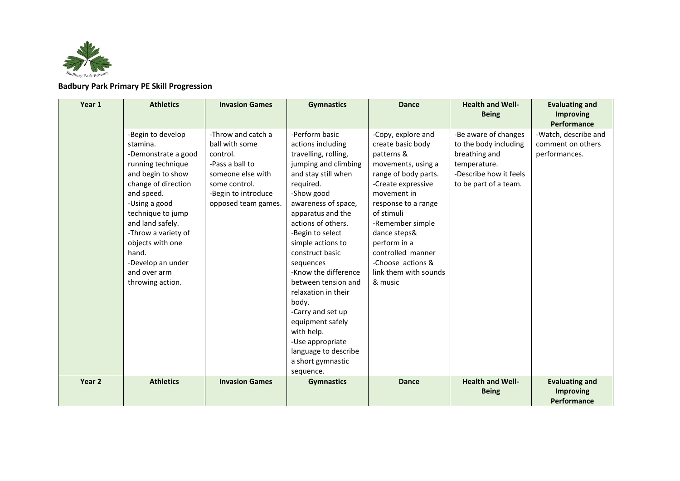

**Badbury Park Primary PE Skill Progression** 

| Year 1            | <b>Athletics</b>                                                                                                                                                                                                                                                                                           | <b>Invasion Games</b>                                                                                                                                   | <b>Gymnastics</b>                                                                                                                                                                                                                                                                                                                                                                                                                                                                       | <b>Dance</b>                                                                                                                                                                                                                                                                                                    | <b>Health and Well-</b><br><b>Being</b>                                                                                           | <b>Evaluating and</b><br><b>Improving</b><br>Performance        |
|-------------------|------------------------------------------------------------------------------------------------------------------------------------------------------------------------------------------------------------------------------------------------------------------------------------------------------------|---------------------------------------------------------------------------------------------------------------------------------------------------------|-----------------------------------------------------------------------------------------------------------------------------------------------------------------------------------------------------------------------------------------------------------------------------------------------------------------------------------------------------------------------------------------------------------------------------------------------------------------------------------------|-----------------------------------------------------------------------------------------------------------------------------------------------------------------------------------------------------------------------------------------------------------------------------------------------------------------|-----------------------------------------------------------------------------------------------------------------------------------|-----------------------------------------------------------------|
|                   | -Begin to develop<br>stamina.<br>-Demonstrate a good<br>running technique<br>and begin to show<br>change of direction<br>and speed.<br>-Using a good<br>technique to jump<br>and land safely.<br>-Throw a variety of<br>objects with one<br>hand.<br>-Develop an under<br>and over arm<br>throwing action. | -Throw and catch a<br>ball with some<br>control.<br>-Pass a ball to<br>someone else with<br>some control.<br>-Begin to introduce<br>opposed team games. | -Perform basic<br>actions including<br>travelling, rolling,<br>jumping and climbing<br>and stay still when<br>required.<br>-Show good<br>awareness of space,<br>apparatus and the<br>actions of others.<br>-Begin to select<br>simple actions to<br>construct basic<br>sequences<br>-Know the difference<br>between tension and<br>relaxation in their<br>body.<br>-Carry and set up<br>equipment safely<br>with help.<br>-Use appropriate<br>language to describe<br>a short gymnastic | -Copy, explore and<br>create basic body<br>patterns &<br>movements, using a<br>range of body parts.<br>-Create expressive<br>movement in<br>response to a range<br>of stimuli<br>-Remember simple<br>dance steps&<br>perform in a<br>controlled manner<br>-Choose actions &<br>link them with sounds<br>& music | -Be aware of changes<br>to the body including<br>breathing and<br>temperature.<br>-Describe how it feels<br>to be part of a team. | -Watch, describe and<br>comment on others<br>performances.      |
| Year <sub>2</sub> | <b>Athletics</b>                                                                                                                                                                                                                                                                                           | <b>Invasion Games</b>                                                                                                                                   | sequence.<br><b>Gymnastics</b>                                                                                                                                                                                                                                                                                                                                                                                                                                                          | <b>Dance</b>                                                                                                                                                                                                                                                                                                    | <b>Health and Well-</b><br><b>Being</b>                                                                                           | <b>Evaluating and</b><br><b>Improving</b><br><b>Performance</b> |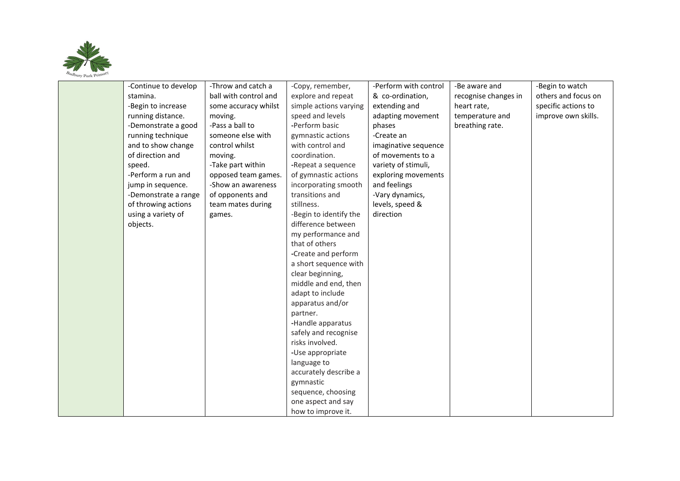

| -Continue to develop | -Throw and catch a    | -Copy, remember,       | -Perform with control | -Be aware and        | -Begin to watch     |
|----------------------|-----------------------|------------------------|-----------------------|----------------------|---------------------|
| stamina.             | ball with control and | explore and repeat     | & co-ordination,      | recognise changes in | others and focus on |
| -Begin to increase   | some accuracy whilst  | simple actions varying | extending and         | heart rate,          | specific actions to |
| running distance.    | moving.               | speed and levels       | adapting movement     | temperature and      | improve own skills. |
| -Demonstrate a good  | -Pass a ball to       | -Perform basic         | phases                | breathing rate.      |                     |
| running technique    | someone else with     | gymnastic actions      | -Create an            |                      |                     |
| and to show change   | control whilst        | with control and       | imaginative sequence  |                      |                     |
| of direction and     | moving.               | coordination.          | of movements to a     |                      |                     |
| speed.               | -Take part within     | -Repeat a sequence     | variety of stimuli,   |                      |                     |
| -Perform a run and   | opposed team games.   | of gymnastic actions   | exploring movements   |                      |                     |
| jump in sequence.    | -Show an awareness    | incorporating smooth   | and feelings          |                      |                     |
| -Demonstrate a range | of opponents and      | transitions and        | -Vary dynamics,       |                      |                     |
| of throwing actions  | team mates during     | stillness.             | levels, speed &       |                      |                     |
| using a variety of   | games.                | -Begin to identify the | direction             |                      |                     |
| objects.             |                       | difference between     |                       |                      |                     |
|                      |                       | my performance and     |                       |                      |                     |
|                      |                       | that of others         |                       |                      |                     |
|                      |                       | -Create and perform    |                       |                      |                     |
|                      |                       | a short sequence with  |                       |                      |                     |
|                      |                       | clear beginning,       |                       |                      |                     |
|                      |                       | middle and end, then   |                       |                      |                     |
|                      |                       | adapt to include       |                       |                      |                     |
|                      |                       | apparatus and/or       |                       |                      |                     |
|                      |                       | partner.               |                       |                      |                     |
|                      |                       | -Handle apparatus      |                       |                      |                     |
|                      |                       | safely and recognise   |                       |                      |                     |
|                      |                       | risks involved.        |                       |                      |                     |
|                      |                       | -Use appropriate       |                       |                      |                     |
|                      |                       | language to            |                       |                      |                     |
|                      |                       | accurately describe a  |                       |                      |                     |
|                      |                       | gymnastic              |                       |                      |                     |
|                      |                       | sequence, choosing     |                       |                      |                     |
|                      |                       | one aspect and say     |                       |                      |                     |
|                      |                       | how to improve it.     |                       |                      |                     |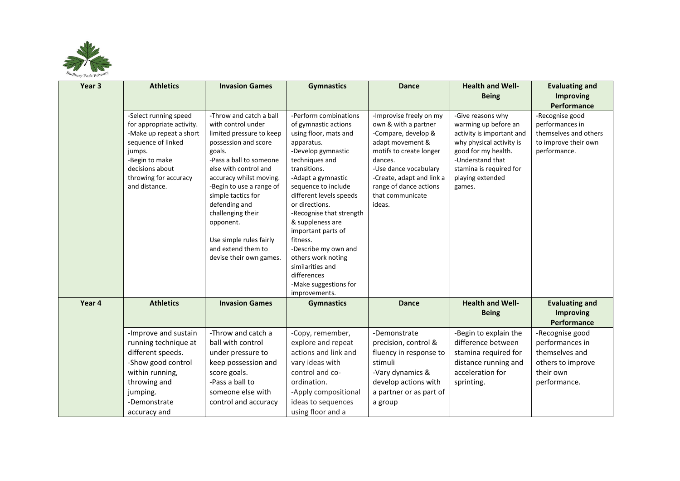

| Year <sub>3</sub> | <b>Athletics</b>                                                                                                                                                                             | <b>Invasion Games</b>                                                                                                                                                                                                                                                                                                                                                       | <b>Gymnastics</b>                                                                                                                                                                                                                                                                                                                                                                                                                  | <b>Dance</b>                                                                                                                                                                                                                                   | <b>Health and Well-</b>                                                                                                                                                                                | <b>Evaluating and</b>                                                                                  |
|-------------------|----------------------------------------------------------------------------------------------------------------------------------------------------------------------------------------------|-----------------------------------------------------------------------------------------------------------------------------------------------------------------------------------------------------------------------------------------------------------------------------------------------------------------------------------------------------------------------------|------------------------------------------------------------------------------------------------------------------------------------------------------------------------------------------------------------------------------------------------------------------------------------------------------------------------------------------------------------------------------------------------------------------------------------|------------------------------------------------------------------------------------------------------------------------------------------------------------------------------------------------------------------------------------------------|--------------------------------------------------------------------------------------------------------------------------------------------------------------------------------------------------------|--------------------------------------------------------------------------------------------------------|
|                   |                                                                                                                                                                                              |                                                                                                                                                                                                                                                                                                                                                                             |                                                                                                                                                                                                                                                                                                                                                                                                                                    |                                                                                                                                                                                                                                                | <b>Being</b>                                                                                                                                                                                           | <b>Improving</b>                                                                                       |
|                   |                                                                                                                                                                                              |                                                                                                                                                                                                                                                                                                                                                                             |                                                                                                                                                                                                                                                                                                                                                                                                                                    |                                                                                                                                                                                                                                                |                                                                                                                                                                                                        | Performance                                                                                            |
|                   | -Select running speed<br>for appropriate activity.<br>-Make up repeat a short<br>sequence of linked<br>jumps.<br>-Begin to make<br>decisions about<br>throwing for accuracy<br>and distance. | -Throw and catch a ball<br>with control under<br>limited pressure to keep<br>possession and score<br>goals.<br>-Pass a ball to someone<br>else with control and<br>accuracy whilst moving.<br>-Begin to use a range of<br>simple tactics for<br>defending and<br>challenging their<br>opponent.<br>Use simple rules fairly<br>and extend them to<br>devise their own games. | -Perform combinations<br>of gymnastic actions<br>using floor, mats and<br>apparatus.<br>-Develop gymnastic<br>techniques and<br>transitions.<br>-Adapt a gymnastic<br>sequence to include<br>different levels speeds<br>or directions.<br>-Recognise that strength<br>& suppleness are<br>important parts of<br>fitness.<br>-Describe my own and<br>others work noting<br>similarities and<br>differences<br>-Make suggestions for | -Improvise freely on my<br>own & with a partner<br>-Compare, develop &<br>adapt movement &<br>motifs to create longer<br>dances.<br>-Use dance vocabulary<br>-Create, adapt and link a<br>range of dance actions<br>that communicate<br>ideas. | -Give reasons why<br>warming up before an<br>activity is important and<br>why physical activity is<br>good for my health.<br>-Understand that<br>stamina is required for<br>playing extended<br>games. | -Recognise good<br>performances in<br>themselves and others<br>to improve their own<br>performance.    |
|                   |                                                                                                                                                                                              |                                                                                                                                                                                                                                                                                                                                                                             | improvements.                                                                                                                                                                                                                                                                                                                                                                                                                      |                                                                                                                                                                                                                                                |                                                                                                                                                                                                        |                                                                                                        |
| Year 4            | <b>Athletics</b>                                                                                                                                                                             | <b>Invasion Games</b>                                                                                                                                                                                                                                                                                                                                                       | <b>Gymnastics</b>                                                                                                                                                                                                                                                                                                                                                                                                                  | <b>Dance</b>                                                                                                                                                                                                                                   | <b>Health and Well-</b><br><b>Being</b>                                                                                                                                                                | <b>Evaluating and</b><br><b>Improving</b><br>Performance                                               |
|                   | -Improve and sustain<br>running technique at<br>different speeds.<br>-Show good control<br>within running,<br>throwing and<br>jumping.<br>-Demonstrate<br>accuracy and                       | -Throw and catch a<br>ball with control<br>under pressure to<br>keep possession and<br>score goals.<br>-Pass a ball to<br>someone else with<br>control and accuracy                                                                                                                                                                                                         | -Copy, remember,<br>explore and repeat<br>actions and link and<br>vary ideas with<br>control and co-<br>ordination.<br>-Apply compositional<br>ideas to sequences<br>using floor and a                                                                                                                                                                                                                                             | -Demonstrate<br>precision, control &<br>fluency in response to<br>stimuli<br>-Vary dynamics &<br>develop actions with<br>a partner or as part of<br>a group                                                                                    | -Begin to explain the<br>difference between<br>stamina required for<br>distance running and<br>acceleration for<br>sprinting.                                                                          | -Recognise good<br>performances in<br>themselves and<br>others to improve<br>their own<br>performance. |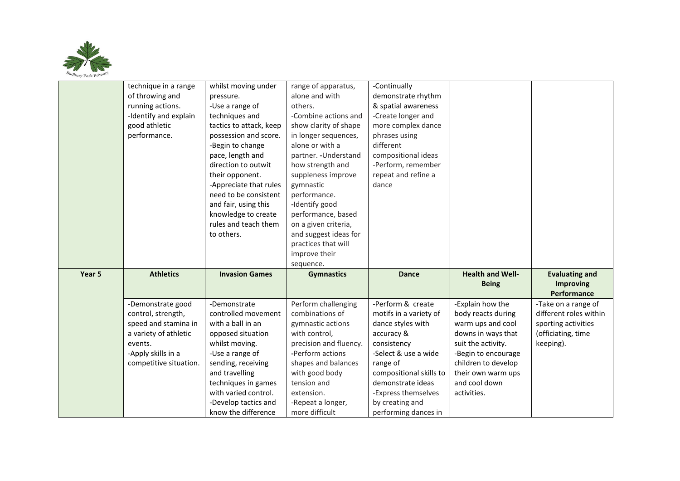

|        | technique in a range   | whilst moving under                         | range of apparatus,                 | -Continually                            |                         |                        |
|--------|------------------------|---------------------------------------------|-------------------------------------|-----------------------------------------|-------------------------|------------------------|
|        | of throwing and        | pressure.                                   | alone and with                      | demonstrate rhythm                      |                         |                        |
|        | running actions.       | -Use a range of                             | others.                             | & spatial awareness                     |                         |                        |
|        | -Identify and explain  | techniques and                              | -Combine actions and                | -Create longer and                      |                         |                        |
|        | good athletic          | tactics to attack, keep                     | show clarity of shape               | more complex dance                      |                         |                        |
|        | performance.           | possession and score.                       | in longer sequences,                | phrases using                           |                         |                        |
|        |                        | -Begin to change                            | alone or with a                     | different                               |                         |                        |
|        |                        | pace, length and                            | partner. - Understand               | compositional ideas                     |                         |                        |
|        |                        | direction to outwit                         | how strength and                    | -Perform, remember                      |                         |                        |
|        |                        | their opponent.                             | suppleness improve                  | repeat and refine a                     |                         |                        |
|        |                        | -Appreciate that rules                      | gymnastic                           | dance                                   |                         |                        |
|        |                        | need to be consistent                       | performance.                        |                                         |                         |                        |
|        |                        | and fair, using this                        | -Identify good                      |                                         |                         |                        |
|        |                        | knowledge to create                         | performance, based                  |                                         |                         |                        |
|        |                        | rules and teach them                        | on a given criteria,                |                                         |                         |                        |
|        |                        | to others.                                  | and suggest ideas for               |                                         |                         |                        |
|        |                        |                                             | practices that will                 |                                         |                         |                        |
|        |                        |                                             | improve their                       |                                         |                         |                        |
|        |                        |                                             |                                     |                                         |                         |                        |
|        |                        |                                             | sequence.                           |                                         |                         |                        |
| Year 5 | <b>Athletics</b>       | <b>Invasion Games</b>                       | <b>Gymnastics</b>                   | <b>Dance</b>                            | <b>Health and Well-</b> | <b>Evaluating and</b>  |
|        |                        |                                             |                                     |                                         | <b>Being</b>            | <b>Improving</b>       |
|        |                        |                                             |                                     |                                         |                         | <b>Performance</b>     |
|        | -Demonstrate good      | -Demonstrate                                | Perform challenging                 | -Perform & create                       | -Explain how the        | -Take on a range of    |
|        | control, strength,     | controlled movement                         | combinations of                     | motifs in a variety of                  | body reacts during      | different roles within |
|        | speed and stamina in   | with a ball in an                           | gymnastic actions                   | dance styles with                       | warm ups and cool       | sporting activities    |
|        | a variety of athletic  | opposed situation                           | with control,                       | accuracy &                              | downs in ways that      | (officiating, time     |
|        | events.                | whilst moving.                              | precision and fluency.              | consistency                             | suit the activity.      | keeping).              |
|        | -Apply skills in a     | -Use a range of                             | -Perform actions                    | -Select & use a wide                    | -Begin to encourage     |                        |
|        | competitive situation. | sending, receiving                          | shapes and balances                 | range of                                | children to develop     |                        |
|        |                        | and travelling                              | with good body                      | compositional skills to                 | their own warm ups      |                        |
|        |                        | techniques in games                         | tension and                         | demonstrate ideas                       | and cool down           |                        |
|        |                        | with varied control.                        | extension.                          | -Express themselves                     | activities.             |                        |
|        |                        | -Develop tactics and<br>know the difference | -Repeat a longer,<br>more difficult | by creating and<br>performing dances in |                         |                        |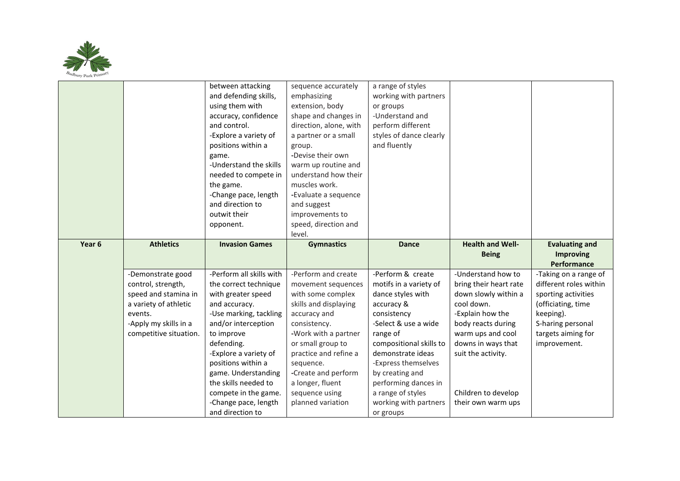

|        |                        | between attacking                        | sequence accurately    | a range of styles       |                         |                        |
|--------|------------------------|------------------------------------------|------------------------|-------------------------|-------------------------|------------------------|
|        |                        | and defending skills,                    | emphasizing            | working with partners   |                         |                        |
|        |                        | using them with                          | extension, body        | or groups               |                         |                        |
|        |                        | accuracy, confidence                     | shape and changes in   | -Understand and         |                         |                        |
|        |                        | and control.                             | direction, alone, with | perform different       |                         |                        |
|        |                        | -Explore a variety of                    | a partner or a small   | styles of dance clearly |                         |                        |
|        |                        | positions within a                       | group.                 | and fluently            |                         |                        |
|        |                        | game.                                    | -Devise their own      |                         |                         |                        |
|        |                        | -Understand the skills                   | warm up routine and    |                         |                         |                        |
|        |                        | needed to compete in                     | understand how their   |                         |                         |                        |
|        |                        | the game.                                | muscles work.          |                         |                         |                        |
|        |                        | -Change pace, length                     | -Evaluate a sequence   |                         |                         |                        |
|        |                        | and direction to                         | and suggest            |                         |                         |                        |
|        |                        | outwit their                             | improvements to        |                         |                         |                        |
|        |                        | opponent.                                | speed, direction and   |                         |                         |                        |
|        |                        |                                          | level.                 |                         |                         |                        |
| Year 6 | <b>Athletics</b>       | <b>Invasion Games</b>                    | <b>Gymnastics</b>      | <b>Dance</b>            | <b>Health and Well-</b> | <b>Evaluating and</b>  |
|        |                        |                                          |                        |                         |                         |                        |
|        |                        |                                          |                        |                         | <b>Being</b>            | <b>Improving</b>       |
|        |                        |                                          |                        |                         |                         | Performance            |
|        | -Demonstrate good      | -Perform all skills with                 | -Perform and create    | -Perform & create       | -Understand how to      | -Taking on a range of  |
|        | control, strength,     | the correct technique                    | movement sequences     | motifs in a variety of  | bring their heart rate  | different roles within |
|        | speed and stamina in   | with greater speed                       | with some complex      | dance styles with       | down slowly within a    | sporting activities    |
|        | a variety of athletic  | and accuracy.                            | skills and displaying  | accuracy &              | cool down.              | (officiating, time     |
|        | events.                | -Use marking, tackling                   | accuracy and           | consistency             | -Explain how the        | keeping).              |
|        | -Apply my skills in a  | and/or interception                      | consistency.           | -Select & use a wide    | body reacts during      | S-haring personal      |
|        | competitive situation. | to improve                               | -Work with a partner   | range of                | warm ups and cool       | targets aiming for     |
|        |                        | defending.                               | or small group to      | compositional skills to | downs in ways that      | improvement.           |
|        |                        | -Explore a variety of                    | practice and refine a  | demonstrate ideas       | suit the activity.      |                        |
|        |                        | positions within a                       | sequence.              | -Express themselves     |                         |                        |
|        |                        | game. Understanding                      | -Create and perform    | by creating and         |                         |                        |
|        |                        | the skills needed to                     | a longer, fluent       | performing dances in    |                         |                        |
|        |                        | compete in the game.                     | sequence using         | a range of styles       | Children to develop     |                        |
|        |                        | -Change pace, length<br>and direction to | planned variation      | working with partners   | their own warm ups      |                        |